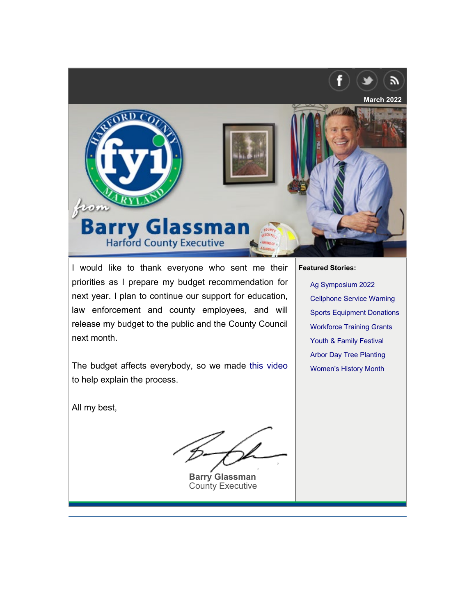

I would like to thank everyone who sent me their priorities as I prepare my budget recommendation for next year. I plan to continue our support for education, law enforcement and county employees, and will release my budget to the public and the County Council next month.

The budget affects everybody, so we made [this video](https://www.youtube.com/watch?v=fqVDbqXxa8c) to help explain the process.

All my best,

**Barry Glassman** [County Executive](https://harford.universitytickets.com/)

**Fe[atured Stories:](#page-1-0)**

[Ag Symposium 2022](#page-2-0) [Cellphone Service Warn](#page-2-1)ing [Sports Equipment Donat](#page-3-0)ions [Workforce Training Gran](#page-3-1)ts Youth & Family Festival Arbor Day Tree Planting Women's History Month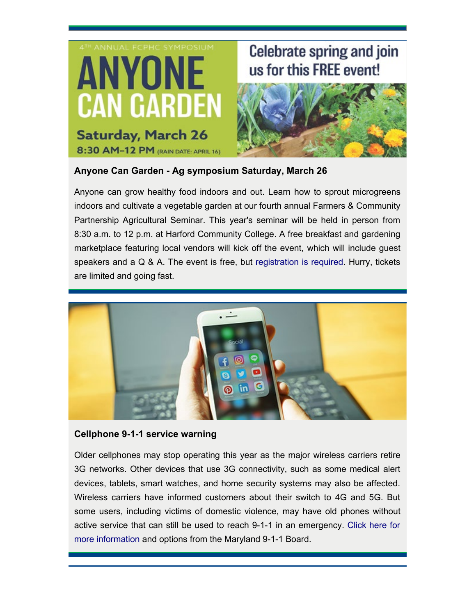

# **Celebrate spring and join** us for this FREE event!



## **Anyone Can Garden - Ag symposium Saturday, March 26**

[Anyone can grow healthy food indoors and out. Learn how to sprout microgreens](https://news.maryland.gov/mdem/) indoors and cultivate a vegetable garden at our fourth annual Farmers & Community Partnership Agricultural Seminar. This year's seminar will be held in person from 8:30 a.m. to 12 p.m. at Harford Community College. A free breakfast and gardening marketplace featuring local vendors will kick off the event, which will include guest speakers and a Q & A. The event is free, but [registration is required.](https://harford.universitytickets.com/) Hurry, tickets are limited and going fast.



#### **Cellphone 9-1-1 service warning**

<span id="page-1-0"></span>Older cellphones may stop operating this year as the major wireless carriers retire 3G networks. Other devices that use 3G connectivity, such as some medical alert devices, tablets, smart watches, and home security systems may also be affected. Wireless carriers have informed customers about their switch to 4G and 5G. But [some users, including victims of domestic violence, may have old phones without](https://www.harfordcountymd.gov/3384/Sports-Equipment-Collection-Drive) active service that can still be used to reach 9-1-1 in an emergency. [Click here for](https://news.maryland.gov/mdem/) [more information](https://news.maryland.gov/mdem/) and options from the Maryland 9-1-1 Board.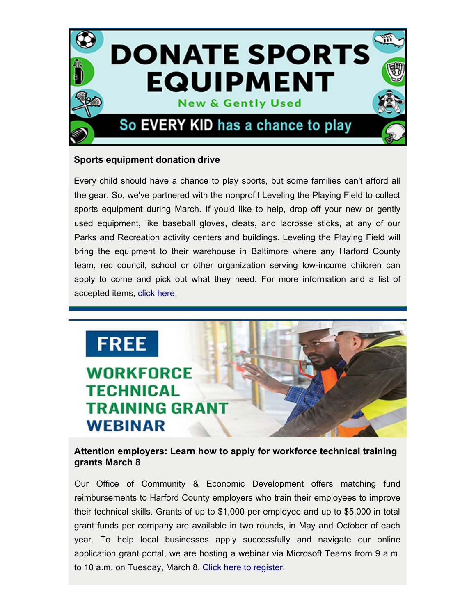

## **Sports equipment donation drive**

the gear. So, we've partnered with the nonprofit Leveling the Playing Field to collect sports equipment during March. If you'd like to help, drop off your new or gently used equipment, like baseball gloves, cleats, and lacrosse sticks, at any of our Parks and Recreation activity centers and buildings. Leveling the Playing Field will bring the equipment to their warehouse in Baltimore where any Harford County team, rec council, school or other organization serving low-income children can apply to come and pick out what they need. For more information and a list of accepted items, [click here](https://www.harfordcountymd.gov/3384/Sports-Equipment-Collection-Drive). [Every child should have a chance to play sports, but some families can't afford all](mailto:lmkrysiak@harfordcountymd.gov)

<span id="page-2-0"></span>

## **[Attention employers: Learn how to apply for workforce technical training](https://www.harfordcountymd.gov/3054/Youth-Family-Resource-Festival) grants March 8**

<span id="page-2-1"></span>Our Office of Community & Economic Development offers matching fund reimbursements to Harford County employers who train their employees to improve their technical skills. Grants of up to \$1,000 per employee and up to \$5,000 in total grant funds per company are available in two rounds, in May and October of each year. To help local businesses apply successfully and navigate our online application grant portal, we are hosting a webinar via Microsoft Teams from 9 a.m. to 10 a.m. on Tuesday, March 8. [Click here to register.](mailto:lmkrysiak@harfordcountymd.gov)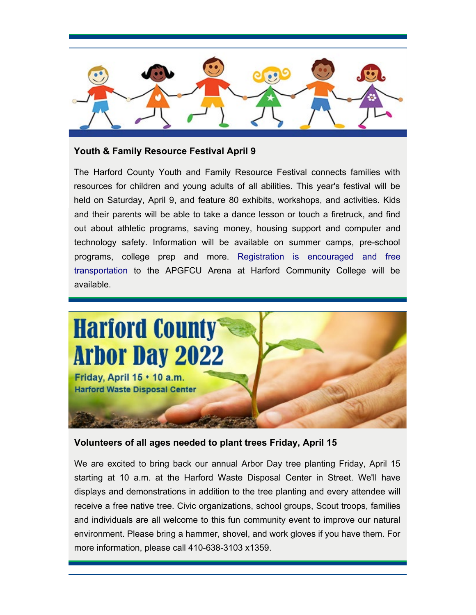

#### **Youth & Family Resource Festival April 9**

and their parents will be able to take a dance lesson or touch a firetruck, and find out about athletic programs, saving money, housing support and computer and technology safety. Information will be available on summer camps, pre-school programs, college prep and more. [Registration is encouraged and free](https://www.harfordcountymd.gov/3054/Youth-Family-Resource-Festival) [transportation](https://www.harfordcountymd.gov/3054/Youth-Family-Resource-Festival) to the APGFCU Arena at Harford Community College will be available. The Harford County Youth and Family Resource Festival connects families with resources for children and young adults of all abilities. This year's festival will be [held on Saturday, April 9, and feature 80 exhibits, workshops, and activities. Kids](https://www.facebook.com/events/624310045541109)

<span id="page-3-0"></span>

## **Volunteers of all ages needed to plant trees Friday, April 15**

<span id="page-3-1"></span>We are excited to bring back our annual Arbor Day tree planting Friday, April 15 starting at 10 a.m. at the Harford Waste Disposal Center in Street. We'll have [displays and demonstrations in addition to the tree planting and every attendee will](https://youtu.be/3vIWvkUqgdQ) receive a free native tree. Civic organizations, school groups, Scout troops, families and individuals are all welcome to this fun community event to improve our natural environment. Please bring a hammer, shovel, and work gloves if you have them. For more information, please call 410-638-3103 x1359.